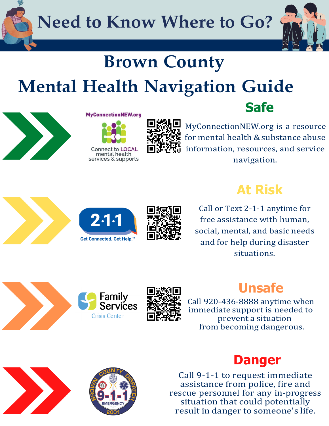**Need to Know Where to Go?**



## **Brown County Mental Health Navigation Guide**



#### **MyConnectionNEW.org**

services & supports



MyConnectionNEW.org is a resource for mental health & substance abuse information, resources, and service navigation.







#### **At Risk**

**Safe**

Call or Text 2-1-1 anytime for free assistance with human, social, mental, and basic needs and for help during disaster situations.





#### **Unsafe**

Call 920-436-8888 anytime when immediate support is needed to prevent a situation from becoming dangerous.





#### **Danger**

Call 9-1-1 to request immediate assistance from police, fire and rescue personnel for any in-progress situation that could potentially result in danger to someone's life.